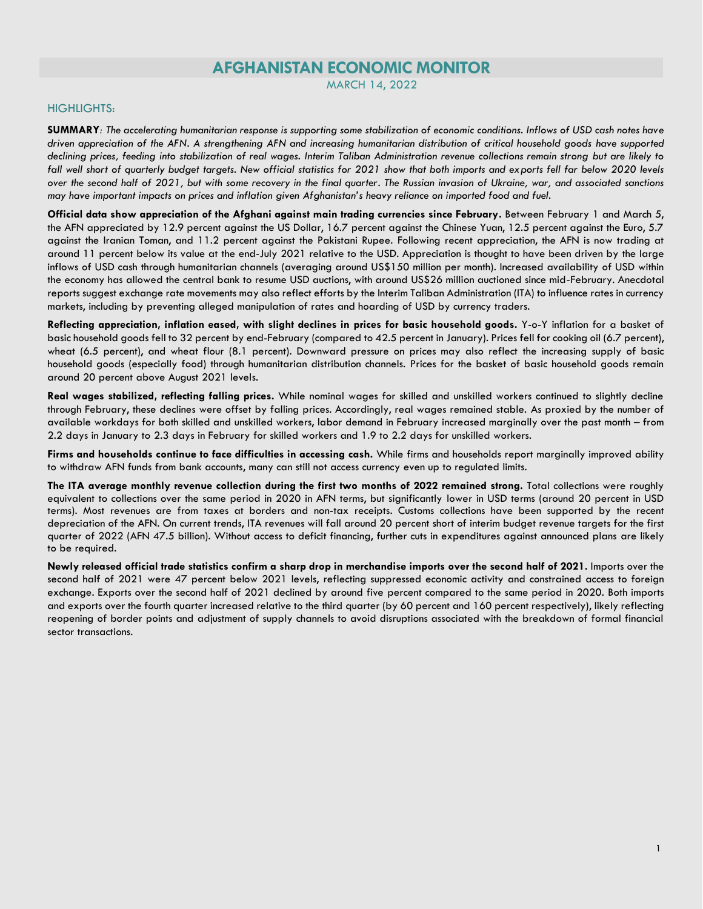# **AFGHANISTAN ECONOMIC MONITOR**

MARCH 14, 2022

## HIGHLIGHTS:

**SUMMARY***: The accelerating humanitarian response is supporting some stabilization of economic conditions. Inflows of USD cash notes have driven appreciation of the AFN. A strengthening AFN and increasing humanitarian distribution of critical household goods have supported declining prices, feeding into stabilization of real wages. Interim Taliban Administration revenue collections remain strong but are likely to fall well short of quarterly budget targets. New official statistics for 2021 show that both imports and exports fell far below 2020 levels over the second half of 2021, but with some recovery in the final quarter. The Russian invasion of Ukraine, war, and associated sanctions may have important impacts on prices and inflation given Afghanistan's heavy reliance on imported food and fuel.* 

**Official data show appreciation of the Afghani against main trading currencies since February.** Between February 1 and March 5, the AFN appreciated by 12.9 percent against the US Dollar, 16.7 percent against the Chinese Yuan, 12.5 percent against the Euro, 5.7 against the Iranian Toman, and 11.2 percent against the Pakistani Rupee. Following recent appreciation, the AFN is now trading at around 11 percent below its value at the end-July 2021 relative to the USD. Appreciation is thought to have been driven by the large inflows of USD cash through humanitarian channels (averaging around US\$150 million per month). Increased availability of USD within the economy has allowed the central bank to resume USD auctions, with around US\$26 million auctioned since mid-February. Anecdotal reports suggest exchange rate movements may also reflect efforts by the Interim Taliban Administration (ITA) to influence rates in currency markets, including by preventing alleged manipulation of rates and hoarding of USD by currency traders.

**Reflecting appreciation, inflation eased, with slight declines in prices for basic household goods.** Y-o-Y inflation for a basket of basic household goods fell to 32 percent by end-February (compared to 42.5 percent in January). Prices fell for cooking oil (6.7 percent), wheat (6.5 percent), and wheat flour (8.1 percent). Downward pressure on prices may also reflect the increasing supply of basic household goods (especially food) through humanitarian distribution channels. Prices for the basket of basic household goods remain around 20 percent above August 2021 levels.

Real wages stabilized, reflecting falling prices. While nominal wages for skilled and unskilled workers continued to slightly decline through February, these declines were offset by falling prices. Accordingly, real wages remained stable. As proxied by the number of available workdays for both skilled and unskilled workers, labor demand in February increased marginally over the past month – from 2.2 days in January to 2.3 days in February for skilled workers and 1.9 to 2.2 days for unskilled workers.

**Firms and households continue to face difficulties in accessing cash.** While firms and households report marginally improved ability to withdraw AFN funds from bank accounts, many can still not access currency even up to regulated limits.

**The ITA average monthly revenue collection during the first two months of 2022 remained strong.** Total collections were roughly equivalent to collections over the same period in 2020 in AFN terms, but significantly lower in USD terms (around 20 percent in USD terms). Most revenues are from taxes at borders and non-tax receipts. Customs collections have been supported by the recent depreciation of the AFN. On current trends, ITA revenues will fall around 20 percent short of interim budget revenue targets for the first quarter of 2022 (AFN 47.5 billion). Without access to deficit financing, further cuts in expenditures against announced plans are likely to be required.

**Newly released official trade statistics confirm a sharp drop in merchandise imports over the second half of 2021.** Imports over the second half of 2021 were 47 percent below 2021 levels, reflecting suppressed economic activity and constrained access to foreign exchange. Exports over the second half of 2021 declined by around five percent compared to the same period in 2020. Both imports and exports over the fourth quarter increased relative to the third quarter (by 60 percent and 160 percent respectively), likely reflecting reopening of border points and adjustment of supply channels to avoid disruptions associated with the breakdown of formal financial sector transactions.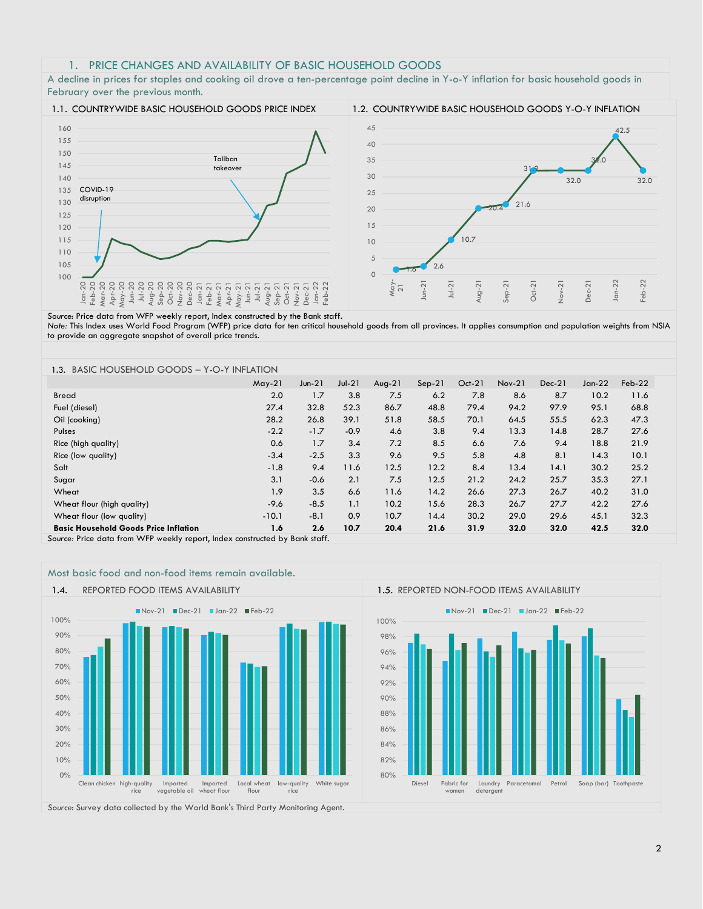## 1. PRICE CHANGES AND AVAILABILITY OF BASIC HOUSEHOLD GOODS

A decline in prices for staples and cooking oil drove a ten-percentage point decline in Y-o-Y inflation for basic household goods in February over the previous month.



*Source*: Price data from WFP weekly report, Index constructed by the Bank staff. *Note:* This Index uses World Food Program (WFP) price data for ten critical household goods from all provinces. It applies consumption and population weights from NSIA to provide an aggregate snapshot of overall price trends.

### 1.3. BASIC HOUSEHOLD GOODS – Y-O-Y INFLATION

| 27.4    | 32.8                    | 52.3            | 86.7            | 48.8            | 79.4            | 94.2            | 97.9                                                                                                      | 95.1            | 68.8              |                  |
|---------|-------------------------|-----------------|-----------------|-----------------|-----------------|-----------------|-----------------------------------------------------------------------------------------------------------|-----------------|-------------------|------------------|
|         | 26.8                    | 39.1            | 51.8            | 58.5            | 70.1            | 64.5            | 55.5                                                                                                      | 62.3            | 47.3              |                  |
| $-2.2$  | $-1.7$                  | $-0.9$          | 4.6             | 3.8             | 9.4             | 13.3            | 14.8                                                                                                      | 28.7            | 27.6              |                  |
| 0.6     | 1.7                     | 3.4             | 7.2             | 8.5             | 6.6             | 7.6             | 9.4                                                                                                       | 18.8            | 21.9              |                  |
| $-3.4$  | $-2.5$                  | 3.3             | 9.6             | 9.5             | 5.8             | 4.8             | 8.1                                                                                                       | 14.3            | 10.1              |                  |
| $-1.8$  | 9.4                     | 11.6            | 12.5            | 12.2            | 8.4             | 13.4            | 14.1                                                                                                      | 30.2            | 25.2              |                  |
| 3.1     | $-0.6$                  | 2.1             | 7.5             | 12.5            | 21.2            | 24.2            | 25.7                                                                                                      | 35.3            | 27.1              |                  |
| 1.9     | 3.5                     | 6.6             | 11.6            | 14.2            | 26.6            | 27.3            | 26.7                                                                                                      | 40.2            | 31.0              |                  |
| $-9.6$  | $-8.5$                  | 1.1             | 10.2            | 15.6            | 28.3            | 26.7            | 27.7                                                                                                      | 42.2            | 27.6              |                  |
| $-10.1$ | $-8.1$                  | 0.9             | 10.7            | 14.4            | 30.2            | 29.0            | 29.6                                                                                                      | 45.1            | 32.3              |                  |
| 1.6     | 2.6                     | 10.7            | 20.4            | 21.6            | 31.9            | 32.0            | 32.0                                                                                                      | 42.5            | 32.0              |                  |
|         | $May-21$<br>2.0<br>28.2 | $Jun-21$<br>1.7 | $Jul-21$<br>3.8 | $Avg-21$<br>7.5 | $Sep-21$<br>6.2 | $Oct-21$<br>7.8 | $Nov-21$<br>8.6<br>Correst Dates dessa faces AA/ED creatable against la deur concentrate dieu Dande staff | $Dec-21$<br>8.7 | Jan- $22$<br>10.2 | $Feb-22$<br>11.6 |

*Source:* Price data from WFP weekly report, Index constructed by Bank staff.



*Source*: Survey data collected by the World Bank's Third Party Monitoring Agent.

Most basic food and non-food items remain available. 1.4. REPORTED FOOD ITEMS AVAILABILITY 1.5. REPORTED NON-FOOD ITEMS AVAILABILITY

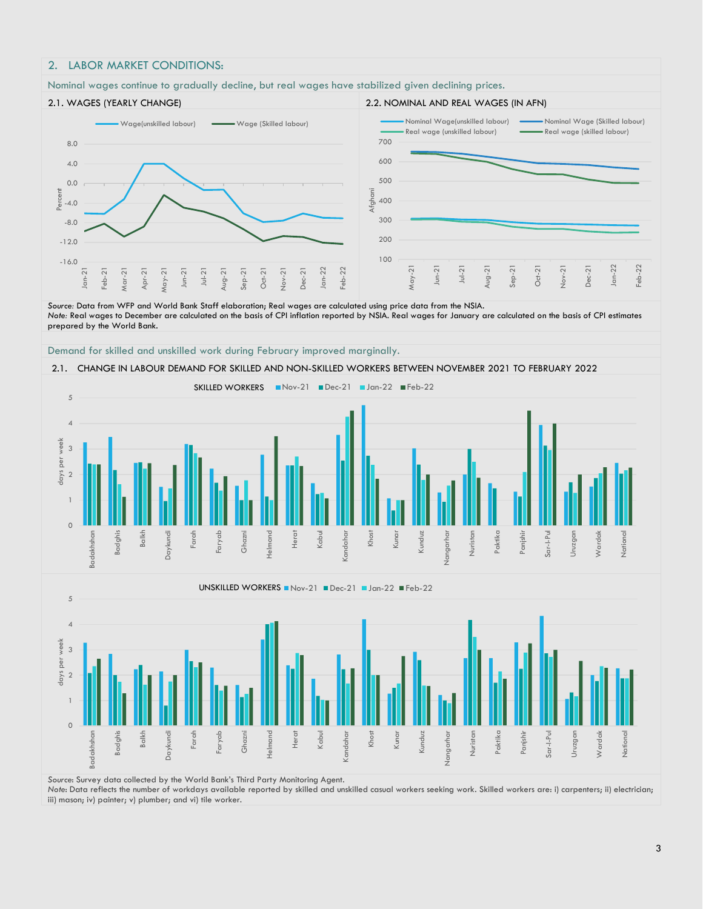## 2. LABOR MARKET CONDITIONS:

### Nominal wages continue to gradually decline, but real wages have stabilized given declining prices. 2.1. WAGES (YEARLY CHANGE) 2.2. NOMINAL AND REAL WAGES (IN AFN) -16.0 -12.0 -8.0 -4.0 0.0 4.0 8.0 Jan-21 Feb-21 Mar-21 Apr-21  $\text{Aay-21}$ Jun-21 Jul-21 Aug-21 Sep-21 Oct-21 Nov-21 Dec-21 Jan-22 Feb-22 Perce Wage(unskilled labour) **Wage (Skilled labour**) 100 200 300 400 500 600 700  $\text{day-21}$ Jun-21 Jul-21 Aug-21 Sep-21 Oct-21 Nov-21 Dec-21 Jan-22 Feb-22 fahani Nominal Wage(unskilled labour) Nominal Wage (Skilled labour) Real wage (unskilled labour) **Real wage (skilled labour)**

*Source:* Data from WFP and World Bank Staff elaboration; Real wages are calculated using price data from the NSIA. *Note:* Real wages to December are calculated on the basis of CPI inflation reported by NSIA. Real wages for January are calculated on the basis of CPI estimates prepared by the World Bank.



## 2.1. CHANGE IN LABOUR DEMAND FOR SKILLED AND NON-SKILLED WORKERS BETWEEN NOVEMBER 2021 TO FEBRUARY 2022





*Source*: Survey data collected by the World Bank's Third Party Monitoring Agent.

*Note*: Data reflects the number of workdays available reported by skilled and unskilled casual workers seeking work. Skilled workers are: i) carpenters; ii) electrician; iii) mason; iv) painter; v) plumber; and vi) tile worker.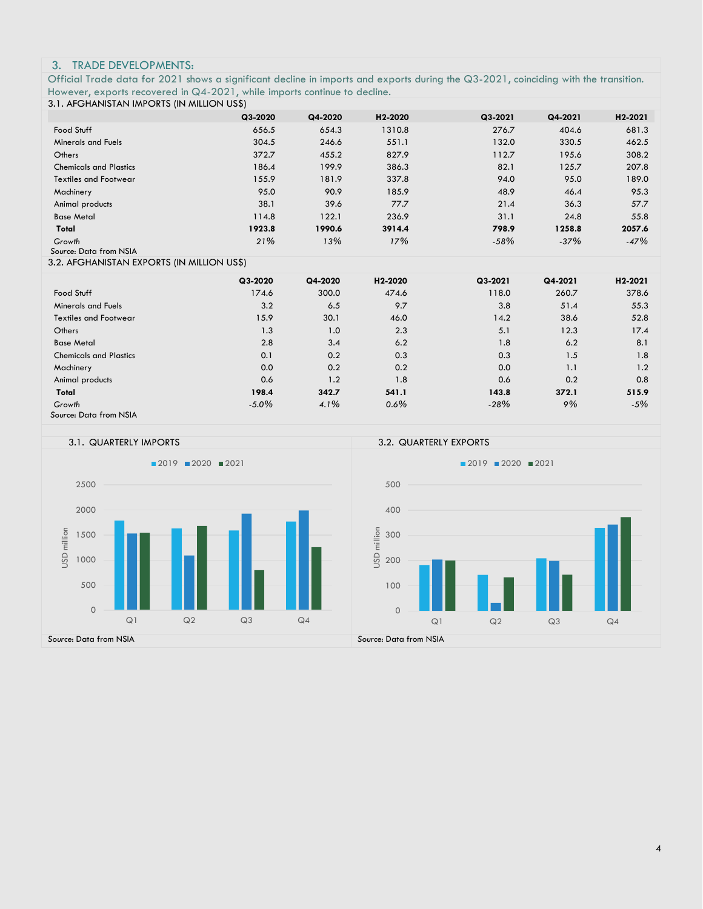## 3. TRADE DEVELOPMENTS:

Official Trade data for 2021 shows a significant decline in imports and exports during the Q3-2021, coinciding with the transition. However, exports recovered in Q4-2021, while imports continue to decline.

## 3.1. AFGHANISTAN IMPORTS (IN MILLION US\$)

| <b>S.I. ALOHAN YISTAN INI ONTO (IN MILLION OST)</b> |          |         |         |         |         |         |
|-----------------------------------------------------|----------|---------|---------|---------|---------|---------|
|                                                     | Q3-2020  | Q4-2020 | H2-2020 | Q3-2021 | Q4-2021 | H2-2021 |
| Food Stuff                                          | 656.5    | 654.3   | 1310.8  | 276.7   | 404.6   | 681.3   |
| <b>Minerals and Fuels</b>                           | 304.5    | 246.6   | 551.1   | 132.0   | 330.5   | 462.5   |
| Others                                              | 372.7    | 455.2   | 827.9   | 112.7   | 195.6   | 308.2   |
| <b>Chemicals and Plastics</b>                       | 186.4    | 199.9   | 386.3   | 82.1    | 125.7   | 207.8   |
| <b>Textiles and Footwear</b>                        | 155.9    | 181.9   | 337.8   | 94.0    | 95.0    | 189.0   |
| Machinery                                           | 95.0     | 90.9    | 185.9   | 48.9    | 46.4    | 95.3    |
| Animal products                                     | 38.1     | 39.6    | 77.7    | 21.4    | 36.3    | 57.7    |
| <b>Base Metal</b>                                   | 114.8    | 122.1   | 236.9   | 31.1    | 24.8    | 55.8    |
| Total                                               | 1923.8   | 1990.6  | 3914.4  | 798.9   | 1258.8  | 2057.6  |
| Growth<br>Source: Data from NSIA                    | 21%      | 13%     | 17%     | $-58%$  | $-37%$  | $-47%$  |
| 3.2. AFGHANISTAN EXPORTS (IN MILLION US\$)          |          |         |         |         |         |         |
|                                                     | Q3-2020  | Q4-2020 | H2-2020 | Q3-2021 | Q4-2021 | H2-2021 |
| Food Stuff                                          | 174.6    | 300.0   | 474.6   | 118.0   | 260.7   | 378.6   |
| <b>Minerals and Fuels</b>                           | 3.2      | 6.5     | 9.7     | 3.8     | 51.4    | 55.3    |
| <b>Textiles and Footwear</b>                        | 15.9     | 30.1    | 46.0    | 14.2    | 38.6    | 52.8    |
| Others                                              | 1.3      | 1.0     | 2.3     | 5.1     | 12.3    | 17.4    |
| <b>Base Metal</b>                                   | 2.8      | 3.4     | 6.2     | 1.8     | 6.2     | 8.1     |
| <b>Chemicals and Plastics</b>                       | 0.1      | 0.2     | 0.3     | 0.3     | 1.5     | 1.8     |
| Machinery                                           | 0.0      | 0.2     | 0.2     | 0.0     | 1.1     | 1.2     |
| Animal products                                     | 0.6      | 1.2     | 1.8     | 0.6     | 0.2     | 0.8     |
| Total                                               | 198.4    | 342.7   | 541.1   | 143.8   | 372.1   | 515.9   |
| Growth                                              | $-5.0\%$ | 4.1%    | 0.6%    | $-28%$  | 9%      | $-5%$   |
| Source: Data from NSIA                              |          |         |         |         |         |         |

## 3.1. QUARTERLY IMPORTS 3.2. QUARTERLY EXPORTS

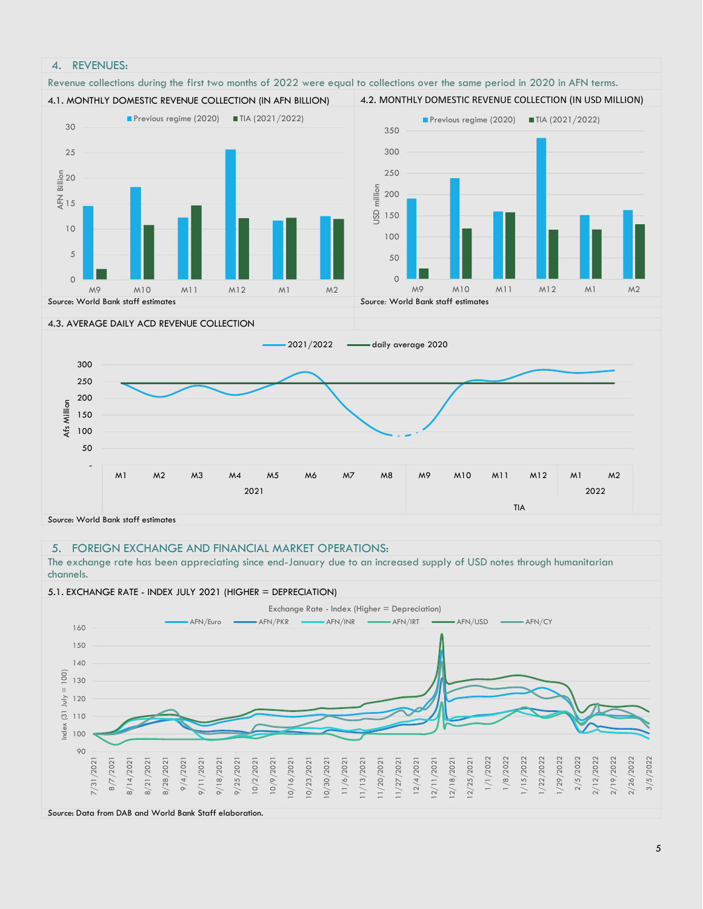

## 5. FOREIGN EXCHANGE AND FINANCIAL MARKET OPERATIONS:

The exchange rate has been appreciating since end-January due to an increased supply of USD notes through humanitarian channels.



*Source*: Data from DAB and World Bank Staff elaboration.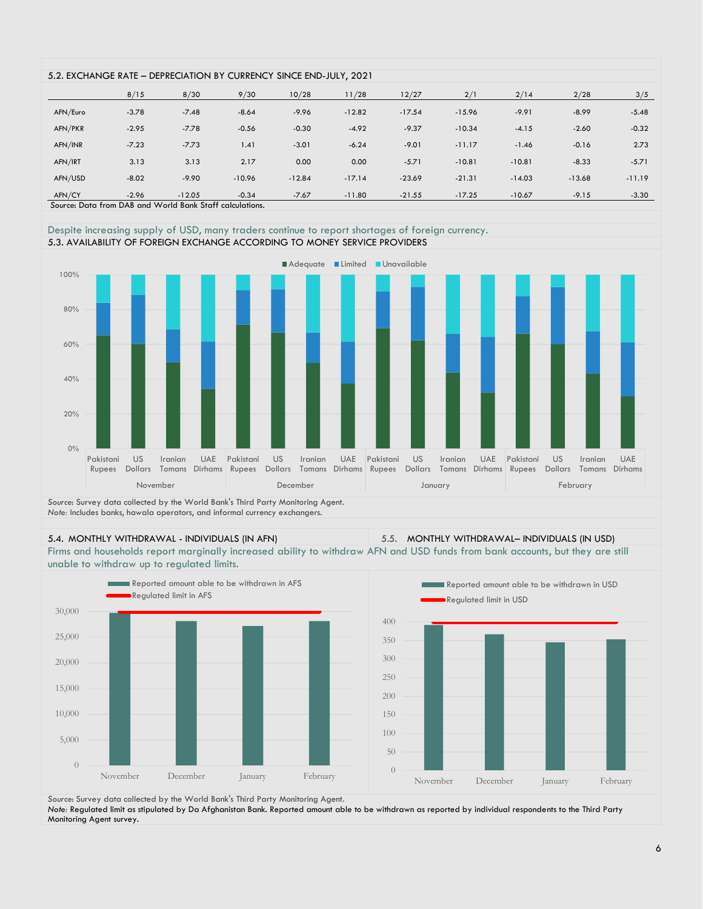| 5.2. EXCHANGE RATE - DEPRECIATION BY CURRENCY SINCE END-JULY, 2021 |         |          |          |          |          |          |          |          |          |          |
|--------------------------------------------------------------------|---------|----------|----------|----------|----------|----------|----------|----------|----------|----------|
|                                                                    |         |          |          |          |          |          |          |          |          |          |
|                                                                    | 8/15    | 8/30     | 9/30     | 10/28    | 11/28    | 12/27    | 2/1      | 2/14     | 2/28     | 3/5      |
| AFN/Euro                                                           | $-3.78$ | $-7.48$  | $-8.64$  | $-9.96$  | $-12.82$ | $-17.54$ | $-15.96$ | $-9.91$  | $-8.99$  | $-5.48$  |
|                                                                    |         |          |          |          |          |          |          |          |          |          |
| AFN/PKR                                                            | $-2.95$ | $-7.78$  | $-0.56$  | $-0.30$  | $-4.92$  | $-9.37$  | $-10.34$ | $-4.15$  | $-2.60$  | $-0.32$  |
| AFN/INR                                                            | $-7.23$ | $-7.73$  | 1.41     | $-3.01$  | $-6.24$  | $-9.01$  | $-11.17$ | $-1.46$  | $-0.16$  | 2.73     |
| AFN/IRT                                                            | 3.13    | 3.13     | 2.17     | 0.00     | 0.00     | $-5.71$  | $-10.81$ | $-10.81$ | $-8.33$  | $-5.71$  |
| AFN/USD                                                            | $-8.02$ | $-9.90$  | $-10.96$ | $-12.84$ | $-17.14$ | $-23.69$ | $-21.31$ | $-14.03$ | $-13.68$ | $-11.19$ |
| AFN/CY                                                             | $-2.96$ | $-12.05$ | $-0.34$  | $-7.67$  | $-11.80$ | $-21.55$ | $-17.25$ | $-10.67$ | $-9.15$  | $-3.30$  |
| Source: Data from DAB and World Bank Staff calculations.           |         |          |          |          |          |          |          |          |          |          |

Despite increasing supply of USD, many traders continue to report shortages of foreign currency. 5.3. AVAILABILITY OF FOREIGN EXCHANGE ACCORDING TO MONEY SERVICE PROVIDERS



*Source*: Survey data collected by the World Bank's Third Party Monitoring Agent. *Note: Includes banks, hawala operators, and informal currency exchangers.* 

5.4. MONTHLY WITHDRAWAL - INDIVIDUALS (IN AFN) 5.5. MONTHLY WITHDRAWAL– INDIVIDUALS (IN USD)

Firms and households report marginally increased ability to withdraw AFN and USD funds from bank accounts, but they are still unable to withdraw up to regulated limits.



*Source*: Survey data collected by the World Bank's Third Party Monitoring Agent. *Note:* Regulated limit as stipulated by Da Afghanistan Bank. Reported amount able to be withdrawn as reported by individual respondents to the Third Party

Monitoring Agent survey.